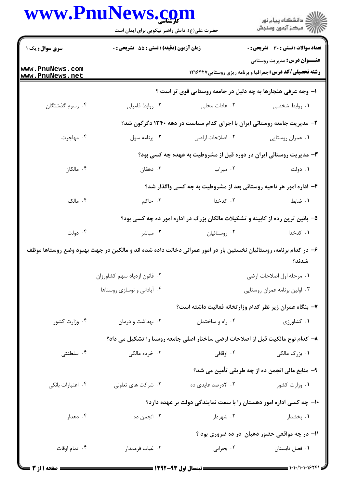|                                    | www.PnuNews.com<br>حضرت علی(ع): دانش راهبر نیکویی برای ایمان است                                                 |                               | ِ<br>∭ دانشڪاه پيام نور<br>∭ مرڪز آزمون وسنڊش                                                          |  |
|------------------------------------|------------------------------------------------------------------------------------------------------------------|-------------------------------|--------------------------------------------------------------------------------------------------------|--|
|                                    |                                                                                                                  |                               |                                                                                                        |  |
| <b>سری سوال :</b> یک ۱             | زمان آزمون (دقيقه) : تستى : 55 آتشريحى : 0                                                                       |                               | <b>تعداد سوالات : تستی : 30 ٪ تشریحی : 0</b>                                                           |  |
| www.PnuNews.com<br>www.PnuNews.net |                                                                                                                  |                               | <b>عنـــوان درس:</b> مدیریت روستایی<br><b>رشته تحصیلی/کد درس:</b> جغرافیا و برنامه ریزی روستایی1۲۱۶۴۲۷ |  |
|                                    |                                                                                                                  |                               | ا- وجه عرفی هنجارها به چه دلیل در جامعه روستایی قوی تر است ؟                                           |  |
| ۰۴ رسوم گذشتگان                    | ۰۳ روابط فاميلي                                                                                                  | ۰۲ عادات محلی                 | ۰۱ روابط شخصی                                                                                          |  |
|                                    |                                                                                                                  |                               | ۲- مدیریت جامعه روستائی ایران با اجرای کدام سیاست در دهه ۱۳۴۰ دگرگون شد؟                               |  |
| ۰۴ مهاجرت                          | ۰۳ برنامه سول                                                                                                    | ۰۲ اصلاحات اراضی              | ۰۱ عمران روستايي                                                                                       |  |
|                                    |                                                                                                                  |                               | ۳- مدیریت روستائی ایران در دوره قبل از مشروطیت به عهده چه کسی بود؟                                     |  |
| ۰۴ مالکان                          | ۰۳ دهقان                                                                                                         | ۰۲ میراب                      | ۰۱ دولت                                                                                                |  |
|                                    | ۴– اداره امور هر ناحیه روستائی بعد از مشروطیت به چه کسی واگذار شد؟                                               |                               |                                                                                                        |  |
| ۰۴ مالک                            | ۰۳ حاکم                                                                                                          | ۰۲ کدخدا                      | ۰۱ ضابط                                                                                                |  |
|                                    |                                                                                                                  |                               | ۵– پائین ترین رده از کابینه و تشکیلات مالکان بزرگ در اداره امور ده چه کسی بود؟                         |  |
| ۰۴ دولت                            | ۰۳ مباشر                                                                                                         | ۰۲ روستائیان                  | ۰۱ کدخدا                                                                                               |  |
|                                    | ۶– در کدام برنامه، روستائیان نخستین بار در امور عمرانی دخالت داده شده اند و مالکین در جهت بهبود وضع روستاها موظف |                               | شدند؟                                                                                                  |  |
|                                    | ٠٢ قانون ازدياد سهم كشاورزان                                                                                     |                               | ۰۱ مرحله اول اصلاحات ارضی                                                                              |  |
|                                    | ۰۴ آبادانی و نوسازی روستاها                                                                                      | ۰۳ اولین برنامه عمران روستایی |                                                                                                        |  |
|                                    |                                                                                                                  |                               | ۷- بنگاه عمران زیر نظر کدام وزارتخانه فعالیت داشته است؟                                                |  |
| ۰۴ وزارت کشور                      | ۰۳ بهداشت و درمان                                                                                                | ۰۲ راه و ساختمان              | ۰۱ کشاورزی                                                                                             |  |
|                                    |                                                                                                                  |                               | ۸– کدام نوع مالکیت قبل از اصلاحات ارضی ساختار اصلی جامعه روستا را تشکیل می داد؟                        |  |
| ۰۴ سلطنتی                          | ۰۳ خرده مالکی                                                                                                    |                               |                                                                                                        |  |
|                                    |                                                                                                                  |                               | ۹- منابع مالی انجمن ده از چه طریقی تأمین می شد؟                                                        |  |
| ۰۴ اعتبارات بانكى                  | ۰۳ شرکت های تعاونی                                                                                               | ۰۲ کدرصد عایدی ده             | ۰۱ وزارت کشور                                                                                          |  |
|                                    |                                                                                                                  |                               | <b>۱۰</b> - چه کسی اداره امور دهستان را با سمت نمایندگی دولت بر عهده دارد؟                             |  |
| ۰۴ دهدار                           | ۰۳ انجمن ده                                                                                                      | ۰۲ شهردار                     | ۰۱ بخشدار                                                                                              |  |
|                                    |                                                                                                                  |                               | 1۱- در چه مواقعی حضور دهبان ً در ده ضروری بود ؟                                                        |  |
| ۰۴ تمام اوقات                      | ۰۳ غياب فرماندار                                                                                                 | ۰۲ بحرانی                     | ٠١ فصل تابستان                                                                                         |  |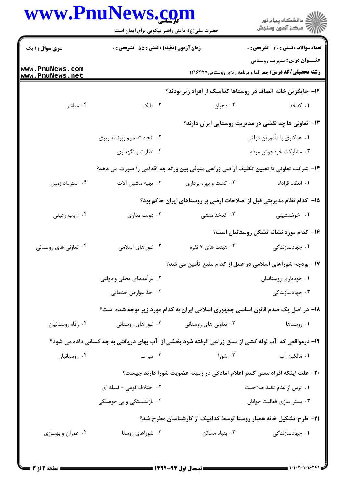|                                    | حضرت علی(ع): دانش راهبر نیکویی برای ایمان است<br>زمان آزمون (دقیقه) : تستی : 55 آتشریحی : 0         |                       | ِ<br>∭ دانشڪاه پيام نور<br>∭ مرڪز آزمون وسنڊش<br><b>تعداد سوالات : تستی : 30 ٪ تشریحی : 0</b>           |  |
|------------------------------------|-----------------------------------------------------------------------------------------------------|-----------------------|---------------------------------------------------------------------------------------------------------|--|
| سری سوال: ۱ یک                     |                                                                                                     |                       |                                                                                                         |  |
| www.PnuNews.com<br>www.PnuNews.net |                                                                                                     |                       | <b>عنـــوان درس:</b> مدیریت روستایی<br><b>رشته تحصیلی/کد درس:</b> جغرافیا و برنامه ریزی روستایی ۱۲۱۶۴۲۷ |  |
|                                    |                                                                                                     |                       | ۱۲– جایگزین خانه انصاف در روستاها کدامیک از افراد زیر بودند؟                                            |  |
| ۰۴ مباشر                           | $\mathcal{F}$ مالک                                                                                  | ۰۲ دهبان              | ۰۱ کدخدا                                                                                                |  |
|                                    |                                                                                                     |                       | ۱۳- تعاونی ها چه نقشی در مدیریت روستایی ایران دارند؟                                                    |  |
|                                    | ۰۲ اتخاذ تصمیم وبرنامه ریزی                                                                         |                       | ۰۱ همکاری با مأمورین دولتی                                                                              |  |
|                                    | ۰۴ نظارت و نگهداری                                                                                  |                       | ۰۳ مشارکت خودجوش مردم                                                                                   |  |
|                                    |                                                                                                     |                       | ۱۴- شرکت تعاونی تا تعیین تکلیف اراضی زراعی متوفی بین ور ثه چه اقدامی را صورت می دهد؟                    |  |
| ۰۴ استرداد زمین                    | ۰۳ تهیه ماشین آلات                                                                                  | ۰۲ کشت و بهره برداری  | ۰۱ انعقاد قراداد                                                                                        |  |
|                                    |                                                                                                     |                       | ۱۵– کدام نظام مدیریتی قبل از اصلاحات ارضی بر روستاهای ایران حاکم بود؟                                   |  |
| ۰۴ ارباب رعیتی                     | ۰۳ دولت مداری                                                                                       | ۰۲ کدخدامنشی          | ۰۱ خوشنشینی                                                                                             |  |
|                                    |                                                                                                     |                       | ۱۶- کدام مورد نشانه تشکل روستائیان است؟                                                                 |  |
| ۰۴ تعاونی های روستائی              | ۰۳ شوراهای اسلامی                                                                                   | ۰۲ هیئت های ۷ نفره    | ۰۱ جهادسازندگی                                                                                          |  |
|                                    | ۱۷– بودجه شوراهای اسلامی در عمل از کدام منبع تأمین می شد؟                                           |                       |                                                                                                         |  |
|                                    | ۰۲ درآمدهای محلی و دولتی                                                                            |                       | ٠١ خودياري روستائيان                                                                                    |  |
|                                    | ۰۴ اخذ عوارض خدماتی                                                                                 |                       | ۰۳ جهادسازندگی                                                                                          |  |
|                                    |                                                                                                     |                       | ۱۸– در اصل یک صدم قانون اساسی جمهوری اسلامی ایران به کدام مورد زیر توجه شده است؟                        |  |
| ۰۴ رفاه روستائيان                  | ۰۳ شوراهای روستائی                                                                                  | ۰۲ تعاونی های روستائی | ۰۱ روستاها                                                                                              |  |
|                                    | ۱۹- درمواقعی که آب لوله کشی از نسق زراعی گرفته شود بخشی از آب بهای دریافتی به چه کسانی داده می شود؟ |                       |                                                                                                         |  |
| ۰۴ روستائيان                       | ۰۳ میراب                                                                                            | ۰۲ شورا               | ۰۱ مالکین آب                                                                                            |  |
|                                    |                                                                                                     |                       | +۲- علت اینکه افراد مسن کمتر اعلام آمادگی در زمینه عضویت شورا دارند چیست؟                               |  |
|                                    | ۲. اختلاف قومی - قبیله ای                                                                           |                       | ۰۱ ترس از عدم تائید صلاحیت                                                                              |  |
|                                    | ۰۴ بازنشستگی و بی حوصلگی                                                                            |                       | ۰۳ بستر سازی فعالیت جوانان                                                                              |  |
|                                    |                                                                                                     |                       | <b>۲۱</b> – طرح تشکیل خانه همیار روستا توسط کدامیک از کارشناسان مطرح شد؟                                |  |
| ۰۴ عمران و بهسازی                  | ۰۳ شوراهای روستا                                                                                    | ۰۲ بنیاد مسکن         | ۰۱ جهادسازندگی                                                                                          |  |